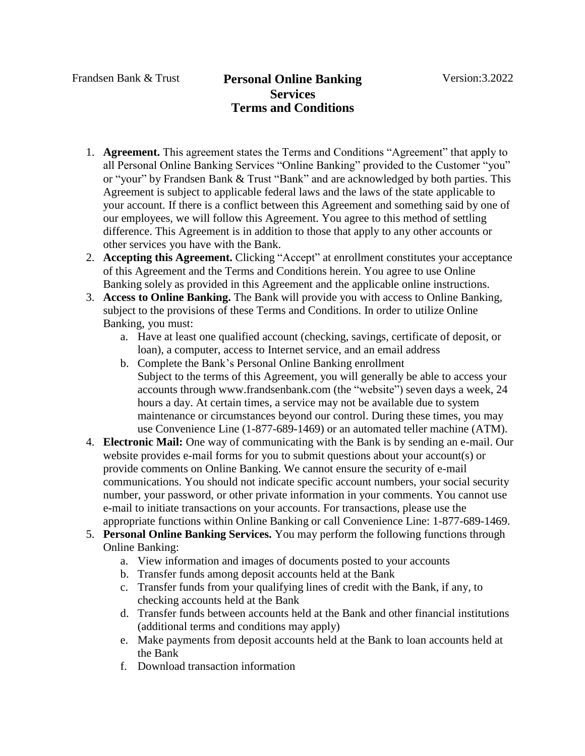- 1. **Agreement.** This agreement states the Terms and Conditions "Agreement" that apply to all Personal Online Banking Services "Online Banking" provided to the Customer "you" or "your" by Frandsen Bank & Trust "Bank" and are acknowledged by both parties. This Agreement is subject to applicable federal laws and the laws of the state applicable to your account. If there is a conflict between this Agreement and something said by one of our employees, we will follow this Agreement. You agree to this method of settling difference. This Agreement is in addition to those that apply to any other accounts or other services you have with the Bank.
- 2. **Accepting this Agreement.** Clicking "Accept" at enrollment constitutes your acceptance of this Agreement and the Terms and Conditions herein. You agree to use Online Banking solely as provided in this Agreement and the applicable online instructions.
- 3. **Access to Online Banking.** The Bank will provide you with access to Online Banking, subject to the provisions of these Terms and Conditions. In order to utilize Online Banking, you must:
	- a. Have at least one qualified account (checking, savings, certificate of deposit, or loan), a computer, access to Internet service, and an email address
	- b. Complete the Bank's Personal Online Banking enrollment Subject to the terms of this Agreement, you will generally be able to access your accounts through [www.frandsenbank.com](http://www.frandsenbank.com/) (the "website") seven days a week, 24 hours a day. At certain times, a service may not be available due to system maintenance or circumstances beyond our control. During these times, you may use Convenience Line (1-877-689-1469) or an automated teller machine (ATM).
- 4. **Electronic Mail:** One way of communicating with the Bank is by sending an e-mail. Our website provides e-mail forms for you to submit questions about your account(s) or provide comments on Online Banking. We cannot ensure the security of e-mail communications. You should not indicate specific account numbers, your social security number, your password, or other private information in your comments. You cannot use e-mail to initiate transactions on your accounts. For transactions, please use the appropriate functions within Online Banking or call Convenience Line: 1-877-689-1469.
- 5. **Personal Online Banking Services.** You may perform the following functions through Online Banking:
	- a. View information and images of documents posted to your accounts
	- b. Transfer funds among deposit accounts held at the Bank
	- c. Transfer funds from your qualifying lines of credit with the Bank, if any, to checking accounts held at the Bank
	- d. Transfer funds between accounts held at the Bank and other financial institutions (additional terms and conditions may apply)
	- e. Make payments from deposit accounts held at the Bank to loan accounts held at the Bank
	- f. Download transaction information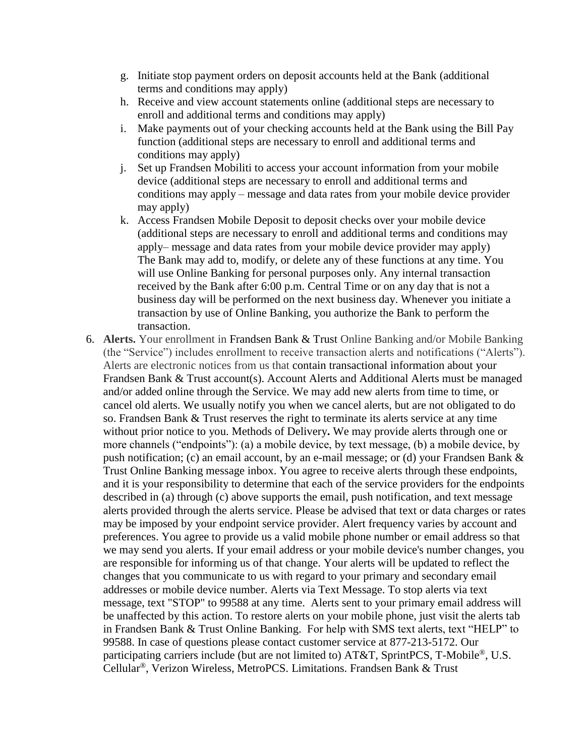- g. Initiate stop payment orders on deposit accounts held at the Bank (additional terms and conditions may apply)
- h. Receive and view account statements online (additional steps are necessary to enroll and additional terms and conditions may apply)
- i. Make payments out of your checking accounts held at the Bank using the Bill Pay function (additional steps are necessary to enroll and additional terms and conditions may apply)
- j. Set up Frandsen Mobiliti to access your account information from your mobile device (additional steps are necessary to enroll and additional terms and conditions may apply – message and data rates from your mobile device provider may apply)
- k. Access Frandsen Mobile Deposit to deposit checks over your mobile device (additional steps are necessary to enroll and additional terms and conditions may apply– message and data rates from your mobile device provider may apply) The Bank may add to, modify, or delete any of these functions at any time. You will use Online Banking for personal purposes only. Any internal transaction received by the Bank after 6:00 p.m. Central Time or on any day that is not a business day will be performed on the next business day. Whenever you initiate a transaction by use of Online Banking, you authorize the Bank to perform the transaction.
- 6. **Alerts.** Your enrollment in Frandsen Bank & Trust Online Banking and/or Mobile Banking (the "Service") includes enrollment to receive transaction alerts and notifications ("Alerts"). Alerts are electronic notices from us that contain transactional information about your Frandsen Bank & Trust account(s). Account Alerts and Additional Alerts must be managed and/or added online through the Service. We may add new alerts from time to time, or cancel old alerts. We usually notify you when we cancel alerts, but are not obligated to do so. Frandsen Bank & Trust reserves the right to terminate its alerts service at any time without prior notice to you. Methods of Delivery**.** We may provide alerts through one or more channels ("endpoints"): (a) a mobile device, by text message, (b) a mobile device, by push notification; (c) an email account, by an e-mail message; or (d) your Frandsen Bank & Trust Online Banking message inbox. You agree to receive alerts through these endpoints, and it is your responsibility to determine that each of the service providers for the endpoints described in (a) through (c) above supports the email, push notification, and text message alerts provided through the alerts service. Please be advised that text or data charges or rates may be imposed by your endpoint service provider. Alert frequency varies by account and preferences. You agree to provide us a valid mobile phone number or email address so that we may send you alerts. If your email address or your mobile device's number changes, you are responsible for informing us of that change. Your alerts will be updated to reflect the changes that you communicate to us with regard to your primary and secondary email addresses or mobile device number. Alerts via Text Message. To stop alerts via text message, text "STOP" to 99588 at any time. Alerts sent to your primary email address will be unaffected by this action. To restore alerts on your mobile phone, just visit the alerts tab in Frandsen Bank & Trust Online Banking. For help with SMS text alerts, text "HELP" to 99588. In case of questions please contact customer service at 877-213-5172. Our participating carriers include (but are not limited to)  $AT&T$ , SprintPCS, T-Mobile<sup>®</sup>, U.S. Cellular®, Verizon Wireless, MetroPCS. Limitations. Frandsen Bank & Trust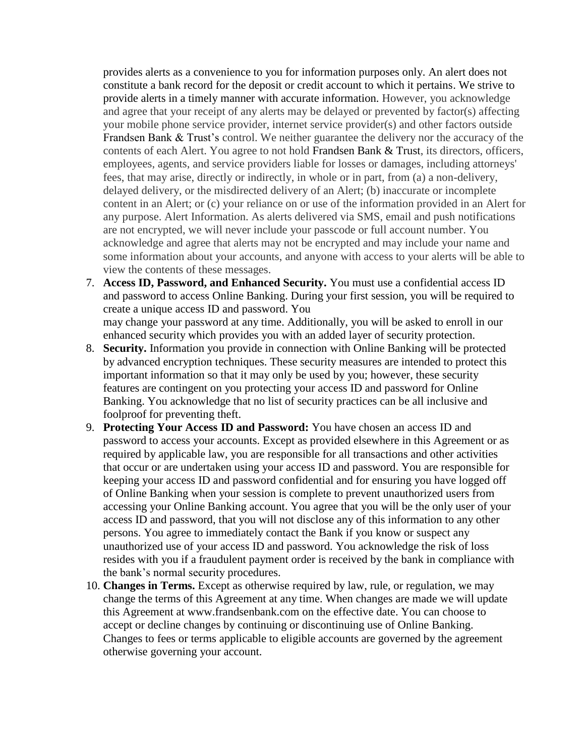provides alerts as a convenience to you for information purposes only. An alert does not constitute a bank record for the deposit or credit account to which it pertains. We strive to provide alerts in a timely manner with accurate information. However, you acknowledge and agree that your receipt of any alerts may be delayed or prevented by factor(s) affecting your mobile phone service provider, internet service provider(s) and other factors outside Frandsen Bank & Trust's control. We neither guarantee the delivery nor the accuracy of the contents of each Alert. You agree to not hold Frandsen Bank & Trust, its directors, officers, employees, agents, and service providers liable for losses or damages, including attorneys' fees, that may arise, directly or indirectly, in whole or in part, from (a) a non-delivery, delayed delivery, or the misdirected delivery of an Alert; (b) inaccurate or incomplete content in an Alert; or (c) your reliance on or use of the information provided in an Alert for any purpose. Alert Information. As alerts delivered via SMS, email and push notifications are not encrypted, we will never include your passcode or full account number. You acknowledge and agree that alerts may not be encrypted and may include your name and some information about your accounts, and anyone with access to your alerts will be able to view the contents of these messages.

- 7. **Access ID, Password, and Enhanced Security.** You must use a confidential access ID and password to access Online Banking. During your first session, you will be required to create a unique access ID and password. You may change your password at any time. Additionally, you will be asked to enroll in our enhanced security which provides you with an added layer of security protection.
- 8. **Security.** Information you provide in connection with Online Banking will be protected by advanced encryption techniques. These security measures are intended to protect this important information so that it may only be used by you; however, these security features are contingent on you protecting your access ID and password for Online Banking. You acknowledge that no list of security practices can be all inclusive and foolproof for preventing theft.
- 9. **Protecting Your Access ID and Password:** You have chosen an access ID and password to access your accounts. Except as provided elsewhere in this Agreement or as required by applicable law, you are responsible for all transactions and other activities that occur or are undertaken using your access ID and password. You are responsible for keeping your access ID and password confidential and for ensuring you have logged off of Online Banking when your session is complete to prevent unauthorized users from accessing your Online Banking account. You agree that you will be the only user of your access ID and password, that you will not disclose any of this information to any other persons. You agree to immediately contact the Bank if you know or suspect any unauthorized use of your access ID and password. You acknowledge the risk of loss resides with you if a fraudulent payment order is received by the bank in compliance with the bank's normal security procedures.
- 10. **Changes in Terms.** Except as otherwise required by law, rule, or regulation, we may change the terms of this Agreement at any time. When changes are made we will update this Agreement at [www.frandsenbank.com](http://www.frandsenbank.com/) on the effective date. You can choose to accept or decline changes by continuing or discontinuing use of Online Banking. Changes to fees or terms applicable to eligible accounts are governed by the agreement otherwise governing your account.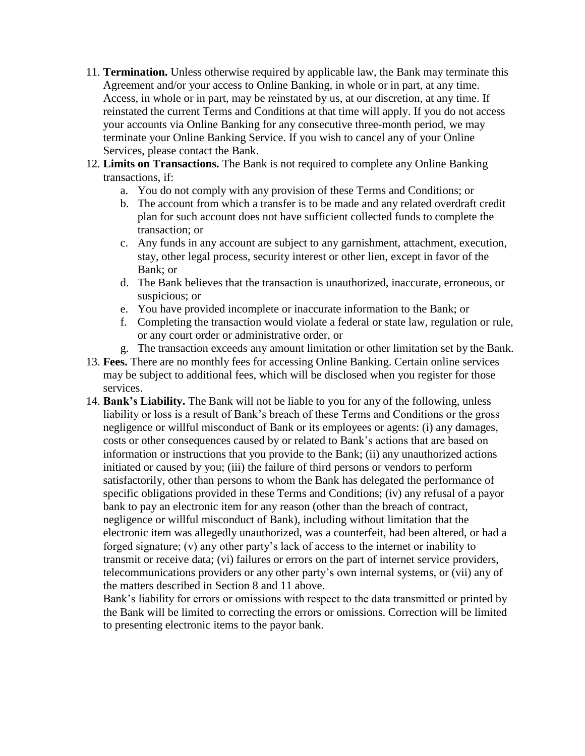- 11. **Termination.** Unless otherwise required by applicable law, the Bank may terminate this Agreement and/or your access to Online Banking, in whole or in part, at any time. Access, in whole or in part, may be reinstated by us, at our discretion, at any time. If reinstated the current Terms and Conditions at that time will apply. If you do not access your accounts via Online Banking for any consecutive three-month period, we may terminate your Online Banking Service. If you wish to cancel any of your Online Services, please contact the Bank.
- 12. **Limits on Transactions.** The Bank is not required to complete any Online Banking transactions, if:
	- a. You do not comply with any provision of these Terms and Conditions; or
	- b. The account from which a transfer is to be made and any related overdraft credit plan for such account does not have sufficient collected funds to complete the transaction; or
	- c. Any funds in any account are subject to any garnishment, attachment, execution, stay, other legal process, security interest or other lien, except in favor of the Bank; or
	- d. The Bank believes that the transaction is unauthorized, inaccurate, erroneous, or suspicious; or
	- e. You have provided incomplete or inaccurate information to the Bank; or
	- f. Completing the transaction would violate a federal or state law, regulation or rule, or any court order or administrative order, or
	- g. The transaction exceeds any amount limitation or other limitation set by the Bank.
- 13. **Fees.** There are no monthly fees for accessing Online Banking. Certain online services may be subject to additional fees, which will be disclosed when you register for those services.
- 14. **Bank's Liability.** The Bank will not be liable to you for any of the following, unless liability or loss is a result of Bank's breach of these Terms and Conditions or the gross negligence or willful misconduct of Bank or its employees or agents: (i) any damages, costs or other consequences caused by or related to Bank's actions that are based on information or instructions that you provide to the Bank; (ii) any unauthorized actions initiated or caused by you; (iii) the failure of third persons or vendors to perform satisfactorily, other than persons to whom the Bank has delegated the performance of specific obligations provided in these Terms and Conditions; (iv) any refusal of a payor bank to pay an electronic item for any reason (other than the breach of contract, negligence or willful misconduct of Bank), including without limitation that the electronic item was allegedly unauthorized, was a counterfeit, had been altered, or had a forged signature; (v) any other party's lack of access to the internet or inability to transmit or receive data; (vi) failures or errors on the part of internet service providers, telecommunications providers or any other party's own internal systems, or (vii) any of the matters described in Section 8 and 11 above.

Bank's liability for errors or omissions with respect to the data transmitted or printed by the Bank will be limited to correcting the errors or omissions. Correction will be limited to presenting electronic items to the payor bank.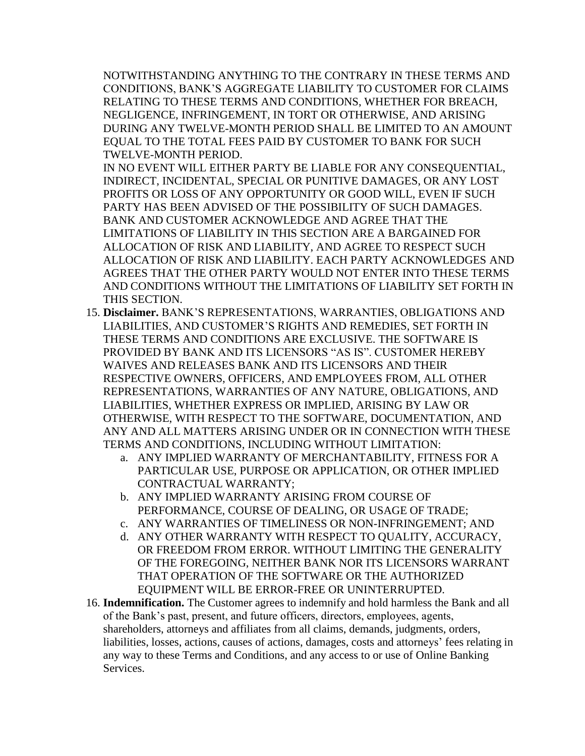NOTWITHSTANDING ANYTHING TO THE CONTRARY IN THESE TERMS AND CONDITIONS, BANK'S AGGREGATE LIABILITY TO CUSTOMER FOR CLAIMS RELATING TO THESE TERMS AND CONDITIONS, WHETHER FOR BREACH, NEGLIGENCE, INFRINGEMENT, IN TORT OR OTHERWISE, AND ARISING DURING ANY TWELVE-MONTH PERIOD SHALL BE LIMITED TO AN AMOUNT EQUAL TO THE TOTAL FEES PAID BY CUSTOMER TO BANK FOR SUCH TWELVE-MONTH PERIOD.

IN NO EVENT WILL EITHER PARTY BE LIABLE FOR ANY CONSEQUENTIAL, INDIRECT, INCIDENTAL, SPECIAL OR PUNITIVE DAMAGES, OR ANY LOST PROFITS OR LOSS OF ANY OPPORTUNITY OR GOOD WILL, EVEN IF SUCH PARTY HAS BEEN ADVISED OF THE POSSIBILITY OF SUCH DAMAGES. BANK AND CUSTOMER ACKNOWLEDGE AND AGREE THAT THE LIMITATIONS OF LIABILITY IN THIS SECTION ARE A BARGAINED FOR ALLOCATION OF RISK AND LIABILITY, AND AGREE TO RESPECT SUCH ALLOCATION OF RISK AND LIABILITY. EACH PARTY ACKNOWLEDGES AND AGREES THAT THE OTHER PARTY WOULD NOT ENTER INTO THESE TERMS AND CONDITIONS WITHOUT THE LIMITATIONS OF LIABILITY SET FORTH IN THIS SECTION.

- 15. **Disclaimer.** BANK'S REPRESENTATIONS, WARRANTIES, OBLIGATIONS AND LIABILITIES, AND CUSTOMER'S RIGHTS AND REMEDIES, SET FORTH IN THESE TERMS AND CONDITIONS ARE EXCLUSIVE. THE SOFTWARE IS PROVIDED BY BANK AND ITS LICENSORS "AS IS". CUSTOMER HEREBY WAIVES AND RELEASES BANK AND ITS LICENSORS AND THEIR RESPECTIVE OWNERS, OFFICERS, AND EMPLOYEES FROM, ALL OTHER REPRESENTATIONS, WARRANTIES OF ANY NATURE, OBLIGATIONS, AND LIABILITIES, WHETHER EXPRESS OR IMPLIED, ARISING BY LAW OR OTHERWISE, WITH RESPECT TO THE SOFTWARE, DOCUMENTATION, AND ANY AND ALL MATTERS ARISING UNDER OR IN CONNECTION WITH THESE TERMS AND CONDITIONS, INCLUDING WITHOUT LIMITATION:
	- a. ANY IMPLIED WARRANTY OF MERCHANTABILITY, FITNESS FOR A PARTICULAR USE, PURPOSE OR APPLICATION, OR OTHER IMPLIED CONTRACTUAL WARRANTY;
	- b. ANY IMPLIED WARRANTY ARISING FROM COURSE OF PERFORMANCE, COURSE OF DEALING, OR USAGE OF TRADE;
	- c. ANY WARRANTIES OF TIMELINESS OR NON-INFRINGEMENT; AND
	- d. ANY OTHER WARRANTY WITH RESPECT TO QUALITY, ACCURACY, OR FREEDOM FROM ERROR. WITHOUT LIMITING THE GENERALITY OF THE FOREGOING, NEITHER BANK NOR ITS LICENSORS WARRANT THAT OPERATION OF THE SOFTWARE OR THE AUTHORIZED EQUIPMENT WILL BE ERROR-FREE OR UNINTERRUPTED.
- 16. **Indemnification.** The Customer agrees to indemnify and hold harmless the Bank and all of the Bank's past, present, and future officers, directors, employees, agents, shareholders, attorneys and affiliates from all claims, demands, judgments, orders, liabilities, losses, actions, causes of actions, damages, costs and attorneys' fees relating in any way to these Terms and Conditions, and any access to or use of Online Banking Services.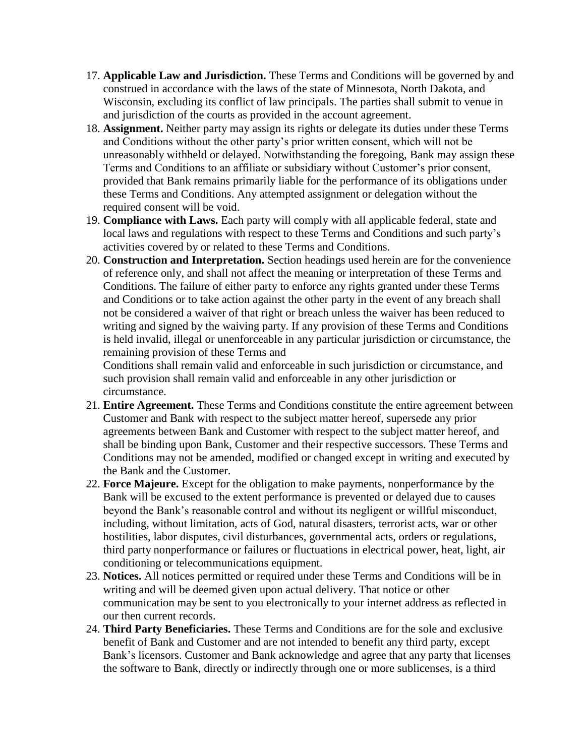- 17. **Applicable Law and Jurisdiction.** These Terms and Conditions will be governed by and construed in accordance with the laws of the state of Minnesota, North Dakota, and Wisconsin, excluding its conflict of law principals. The parties shall submit to venue in and jurisdiction of the courts as provided in the account agreement.
- 18. **Assignment.** Neither party may assign its rights or delegate its duties under these Terms and Conditions without the other party's prior written consent, which will not be unreasonably withheld or delayed. Notwithstanding the foregoing, Bank may assign these Terms and Conditions to an affiliate or subsidiary without Customer's prior consent, provided that Bank remains primarily liable for the performance of its obligations under these Terms and Conditions. Any attempted assignment or delegation without the required consent will be void.
- 19. **Compliance with Laws.** Each party will comply with all applicable federal, state and local laws and regulations with respect to these Terms and Conditions and such party's activities covered by or related to these Terms and Conditions.
- 20. **Construction and Interpretation.** Section headings used herein are for the convenience of reference only, and shall not affect the meaning or interpretation of these Terms and Conditions. The failure of either party to enforce any rights granted under these Terms and Conditions or to take action against the other party in the event of any breach shall not be considered a waiver of that right or breach unless the waiver has been reduced to writing and signed by the waiving party. If any provision of these Terms and Conditions is held invalid, illegal or unenforceable in any particular jurisdiction or circumstance, the remaining provision of these Terms and

Conditions shall remain valid and enforceable in such jurisdiction or circumstance, and such provision shall remain valid and enforceable in any other jurisdiction or circumstance.

- 21. **Entire Agreement.** These Terms and Conditions constitute the entire agreement between Customer and Bank with respect to the subject matter hereof, supersede any prior agreements between Bank and Customer with respect to the subject matter hereof, and shall be binding upon Bank, Customer and their respective successors. These Terms and Conditions may not be amended, modified or changed except in writing and executed by the Bank and the Customer.
- 22. **Force Majeure.** Except for the obligation to make payments, nonperformance by the Bank will be excused to the extent performance is prevented or delayed due to causes beyond the Bank's reasonable control and without its negligent or willful misconduct, including, without limitation, acts of God, natural disasters, terrorist acts, war or other hostilities, labor disputes, civil disturbances, governmental acts, orders or regulations, third party nonperformance or failures or fluctuations in electrical power, heat, light, air conditioning or telecommunications equipment.
- 23. **Notices.** All notices permitted or required under these Terms and Conditions will be in writing and will be deemed given upon actual delivery. That notice or other communication may be sent to you electronically to your internet address as reflected in our then current records.
- 24. **Third Party Beneficiaries.** These Terms and Conditions are for the sole and exclusive benefit of Bank and Customer and are not intended to benefit any third party, except Bank's licensors. Customer and Bank acknowledge and agree that any party that licenses the software to Bank, directly or indirectly through one or more sublicenses, is a third